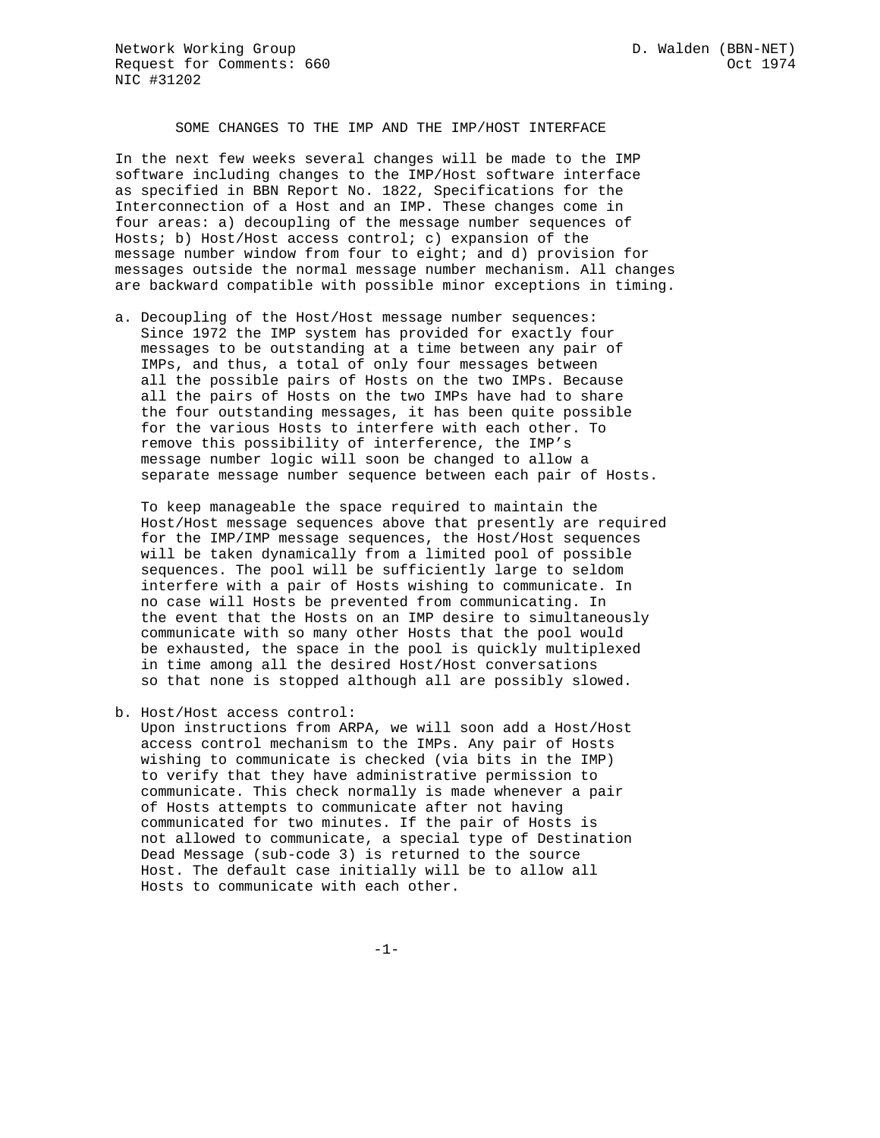## SOME CHANGES TO THE IMP AND THE IMP/HOST INTERFACE

In the next few weeks several changes will be made to the IMP software including changes to the IMP/Host software interface as specified in BBN Report No. 1822, Specifications for the Interconnection of a Host and an IMP. These changes come in four areas: a) decoupling of the message number sequences of Hosts; b) Host/Host access control; c) expansion of the message number window from four to eight; and d) provision for messages outside the normal message number mechanism. All changes are backward compatible with possible minor exceptions in timing.

a. Decoupling of the Host/Host message number sequences: Since 1972 the IMP system has provided for exactly four messages to be outstanding at a time between any pair of IMPs, and thus, a total of only four messages between all the possible pairs of Hosts on the two IMPs. Because all the pairs of Hosts on the two IMPs have had to share the four outstanding messages, it has been quite possible for the various Hosts to interfere with each other. To remove this possibility of interference, the IMP's message number logic will soon be changed to allow a separate message number sequence between each pair of Hosts.

 To keep manageable the space required to maintain the Host/Host message sequences above that presently are required for the IMP/IMP message sequences, the Host/Host sequences will be taken dynamically from a limited pool of possible sequences. The pool will be sufficiently large to seldom interfere with a pair of Hosts wishing to communicate. In no case will Hosts be prevented from communicating. In the event that the Hosts on an IMP desire to simultaneously communicate with so many other Hosts that the pool would be exhausted, the space in the pool is quickly multiplexed in time among all the desired Host/Host conversations so that none is stopped although all are possibly slowed.

b. Host/Host access control:

 Upon instructions from ARPA, we will soon add a Host/Host access control mechanism to the IMPs. Any pair of Hosts wishing to communicate is checked (via bits in the IMP) to verify that they have administrative permission to communicate. This check normally is made whenever a pair of Hosts attempts to communicate after not having communicated for two minutes. If the pair of Hosts is not allowed to communicate, a special type of Destination Dead Message (sub-code 3) is returned to the source Host. The default case initially will be to allow all Hosts to communicate with each other.